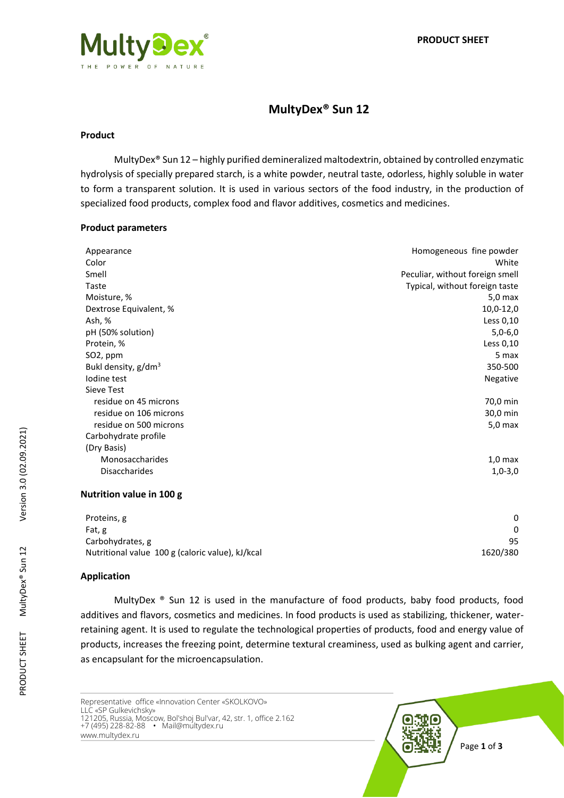

# **MultyDex® Sun 12**

#### **Product**

MultyDex® Sun 12 – highly purified demineralized maltodextrin, obtained by controlled enzymatic hydrolysis of specially prepared starch, is a white powder, neutral taste, odorless, highly soluble in water to form a transparent solution. It is used in various sectors of the food industry, in the production of specialized food products, complex food and flavor additives, cosmetics and medicines.

#### **Product parameters**

| Appearance               | Homogeneous fine powder         |
|--------------------------|---------------------------------|
| Color                    | White                           |
| Smell                    | Peculiar, without foreign smell |
| Taste                    | Typical, without foreign taste  |
| Moisture, %              | $5,0$ max                       |
| Dextrose Equivalent, %   | 10,0-12,0                       |
| Ash, %                   | Less 0,10                       |
| pH (50% solution)        | $5,0-6,0$                       |
| Protein, %               | Less 0,10                       |
| SO <sub>2</sub> , ppm    | 5 max                           |
| Bukl density, $g/dm^3$   | 350-500                         |
| Iodine test              | Negative                        |
| Sieve Test               |                                 |
| residue on 45 microns    | 70,0 min                        |
| residue on 106 microns   | 30,0 min                        |
| residue on 500 microns   | $5,0$ max                       |
| Carbohydrate profile     |                                 |
| (Dry Basis)              |                                 |
| Monosaccharides          | $1,0$ max                       |
| <b>Disaccharides</b>     | $1,0-3,0$                       |
| Nutrition value in 100 g |                                 |

| Proteins, g                                      |          |
|--------------------------------------------------|----------|
| Fat, g                                           |          |
| Carbohydrates, g                                 | 95       |
| Nutritional value 100 g (caloric value), kJ/kcal | 1620/380 |

### **Application**

MultyDex  $\Phi$  Sun 12 is used in the manufacture of food products, baby food products, food additives and flavors, cosmetics and medicines. In food products is used as stabilizing, thickener, waterretaining agent. It is used to regulate the technological properties of products, food and energy value of products, increases the freezing point, determine textural creaminess, used as bulking agent and carrier, as encapsulant for the microencapsulation.

Representative office «Innovation Center «SKOLKOVO» LLC «SP Gulkevichsky» 121205, Russia, Moscow, Bol'shoj Bul'var, 42, str. 1, office 2.162 +7 (495) 228-82-88 • Mail@multydex.ru www.multydex.ru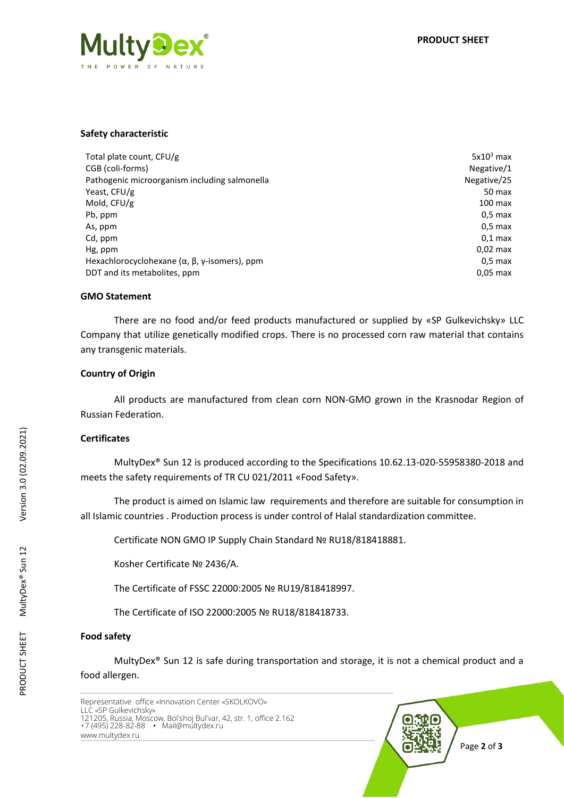

#### **Safety characteristic**

| Total plate count, CFU/g                                             | $5x103$ max       |
|----------------------------------------------------------------------|-------------------|
| CGB (coli-forms)                                                     | Negative/1        |
| Pathogenic microorganism including salmonella                        | Negative/25       |
| Yeast, CFU/g                                                         | 50 max            |
| Mold, CFU/g                                                          | $100 \text{ max}$ |
| Pb, ppm                                                              | $0.5$ max         |
| As, ppm                                                              | $0.5$ max         |
| Cd, ppm                                                              | $0.1$ max         |
| Hg, ppm                                                              | $0.02$ max        |
| Hexachlorocyclohexane ( $\alpha$ , $\beta$ , $\gamma$ -isomers), ppm | $0.5$ max         |
| DDT and its metabolites, ppm                                         | $0.05$ max        |

#### **GMO Statement**

There are no food and/or feed products manufactured or supplied by «SP Gulkevichsky» LLC Company that utilize genetically modified crops. There is no processed corn raw material that contains any transgenic materials.

### **Country of Origin**

All products are manufactured from clean corn NON-GMO grown in the Krasnodar Region of Russian Federation.

### **Certificates**

MultyDex® Sun 12 is produced according to the Specifications 10.62.13-020-55958380-2018 and meets the safety requirements of TR CU 021/2011 «Food Safety».

The product is aimed on Islamic law requirements and therefore are suitable for consumption in all Islamic countries . Production process is under control of Halal standardization committee.

Certificate NON GMO IP Supply Chain Standard № RU18/818418881.

Kosher Certificate № 2436/А.

The Certificate of FSSC 22000:2005 № RU19/818418997.

The Certificate of ISO 22000:2005 № RU18/818418733.

#### **Food safety**

MultyDex® Sun 12 is safe during transportation and storage, it is not a chemical product and a food allergen.